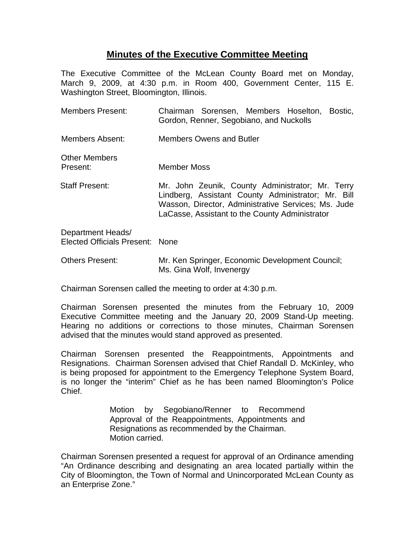## **Minutes of the Executive Committee Meeting**

The Executive Committee of the McLean County Board met on Monday, March 9, 2009, at 4:30 p.m. in Room 400, Government Center, 115 E. Washington Street, Bloomington, Illinois.

| <b>Members Present:</b>                              | Chairman Sorensen, Members Hoselton,<br>Bostic.<br>Gordon, Renner, Segobiano, and Nuckolls                                                                                                                      |
|------------------------------------------------------|-----------------------------------------------------------------------------------------------------------------------------------------------------------------------------------------------------------------|
| Members Absent:                                      | <b>Members Owens and Butler</b>                                                                                                                                                                                 |
| <b>Other Members</b><br>Present:                     | Member Moss                                                                                                                                                                                                     |
| <b>Staff Present:</b>                                | Mr. John Zeunik, County Administrator; Mr. Terry<br>Lindberg, Assistant County Administrator; Mr. Bill<br>Wasson, Director, Administrative Services; Ms. Jude<br>LaCasse, Assistant to the County Administrator |
| Department Heads/<br>Elected Officials Present: None |                                                                                                                                                                                                                 |

Others Present: Mr. Ken Springer, Economic Development Council; Ms. Gina Wolf, Invenergy

Chairman Sorensen called the meeting to order at 4:30 p.m.

Chairman Sorensen presented the minutes from the February 10, 2009 Executive Committee meeting and the January 20, 2009 Stand-Up meeting. Hearing no additions or corrections to those minutes, Chairman Sorensen advised that the minutes would stand approved as presented.

Chairman Sorensen presented the Reappointments, Appointments and Resignations. Chairman Sorensen advised that Chief Randall D. McKinley, who is being proposed for appointment to the Emergency Telephone System Board, is no longer the "interim" Chief as he has been named Bloomington's Police Chief.

> Motion by Segobiano/Renner to Recommend Approval of the Reappointments, Appointments and Resignations as recommended by the Chairman. Motion carried.

Chairman Sorensen presented a request for approval of an Ordinance amending "An Ordinance describing and designating an area located partially within the City of Bloomington, the Town of Normal and Unincorporated McLean County as an Enterprise Zone."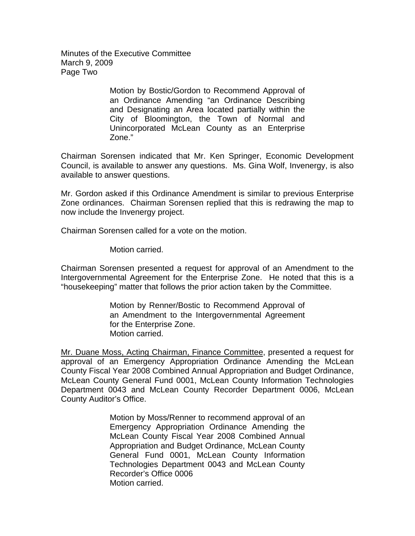Minutes of the Executive Committee March 9, 2009 Page Two

> Motion by Bostic/Gordon to Recommend Approval of an Ordinance Amending "an Ordinance Describing and Designating an Area located partially within the City of Bloomington, the Town of Normal and Unincorporated McLean County as an Enterprise Zone."

Chairman Sorensen indicated that Mr. Ken Springer, Economic Development Council, is available to answer any questions. Ms. Gina Wolf, Invenergy, is also available to answer questions.

Mr. Gordon asked if this Ordinance Amendment is similar to previous Enterprise Zone ordinances. Chairman Sorensen replied that this is redrawing the map to now include the Invenergy project.

Chairman Sorensen called for a vote on the motion.

Motion carried.

Chairman Sorensen presented a request for approval of an Amendment to the Intergovernmental Agreement for the Enterprise Zone. He noted that this is a "housekeeping" matter that follows the prior action taken by the Committee.

> Motion by Renner/Bostic to Recommend Approval of an Amendment to the Intergovernmental Agreement for the Enterprise Zone. Motion carried.

Mr. Duane Moss, Acting Chairman, Finance Committee, presented a request for approval of an Emergency Appropriation Ordinance Amending the McLean County Fiscal Year 2008 Combined Annual Appropriation and Budget Ordinance, McLean County General Fund 0001, McLean County Information Technologies Department 0043 and McLean County Recorder Department 0006, McLean County Auditor's Office.

> Motion by Moss/Renner to recommend approval of an Emergency Appropriation Ordinance Amending the McLean County Fiscal Year 2008 Combined Annual Appropriation and Budget Ordinance, McLean County General Fund 0001, McLean County Information Technologies Department 0043 and McLean County Recorder's Office 0006 Motion carried.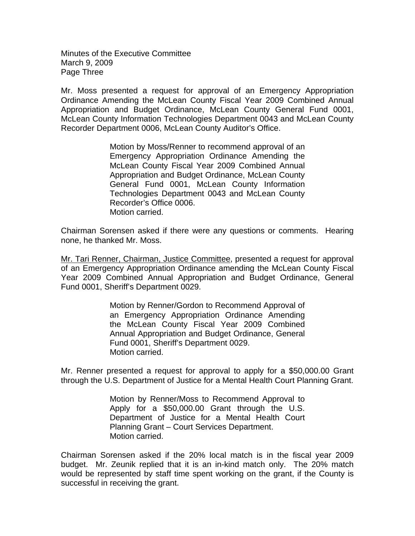Minutes of the Executive Committee March 9, 2009 Page Three

Mr. Moss presented a request for approval of an Emergency Appropriation Ordinance Amending the McLean County Fiscal Year 2009 Combined Annual Appropriation and Budget Ordinance, McLean County General Fund 0001, McLean County Information Technologies Department 0043 and McLean County Recorder Department 0006, McLean County Auditor's Office.

> Motion by Moss/Renner to recommend approval of an Emergency Appropriation Ordinance Amending the McLean County Fiscal Year 2009 Combined Annual Appropriation and Budget Ordinance, McLean County General Fund 0001, McLean County Information Technologies Department 0043 and McLean County Recorder's Office 0006. Motion carried.

Chairman Sorensen asked if there were any questions or comments. Hearing none, he thanked Mr. Moss.

Mr. Tari Renner, Chairman, Justice Committee, presented a request for approval of an Emergency Appropriation Ordinance amending the McLean County Fiscal Year 2009 Combined Annual Appropriation and Budget Ordinance, General Fund 0001, Sheriff's Department 0029.

> Motion by Renner/Gordon to Recommend Approval of an Emergency Appropriation Ordinance Amending the McLean County Fiscal Year 2009 Combined Annual Appropriation and Budget Ordinance, General Fund 0001, Sheriff's Department 0029. Motion carried.

Mr. Renner presented a request for approval to apply for a \$50,000.00 Grant through the U.S. Department of Justice for a Mental Health Court Planning Grant.

> Motion by Renner/Moss to Recommend Approval to Apply for a \$50,000.00 Grant through the U.S. Department of Justice for a Mental Health Court Planning Grant – Court Services Department. Motion carried.

Chairman Sorensen asked if the 20% local match is in the fiscal year 2009 budget. Mr. Zeunik replied that it is an in-kind match only. The 20% match would be represented by staff time spent working on the grant, if the County is successful in receiving the grant.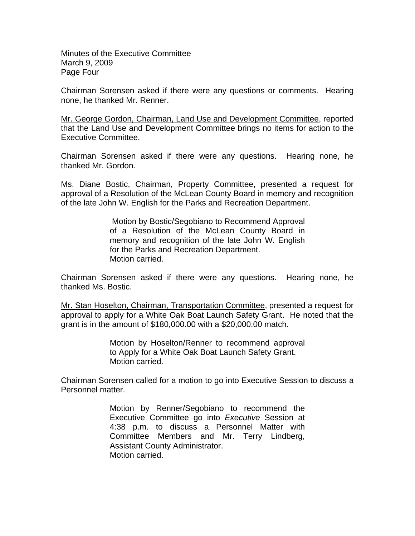Minutes of the Executive Committee March 9, 2009 Page Four

Chairman Sorensen asked if there were any questions or comments. Hearing none, he thanked Mr. Renner.

Mr. George Gordon, Chairman, Land Use and Development Committee, reported that the Land Use and Development Committee brings no items for action to the Executive Committee.

Chairman Sorensen asked if there were any questions. Hearing none, he thanked Mr. Gordon.

Ms. Diane Bostic, Chairman, Property Committee, presented a request for approval of a Resolution of the McLean County Board in memory and recognition of the late John W. English for the Parks and Recreation Department.

> Motion by Bostic/Segobiano to Recommend Approval of a Resolution of the McLean County Board in memory and recognition of the late John W. English for the Parks and Recreation Department. Motion carried.

Chairman Sorensen asked if there were any questions. Hearing none, he thanked Ms. Bostic.

Mr. Stan Hoselton, Chairman, Transportation Committee, presented a request for approval to apply for a White Oak Boat Launch Safety Grant. He noted that the grant is in the amount of \$180,000.00 with a \$20,000.00 match.

> Motion by Hoselton/Renner to recommend approval to Apply for a White Oak Boat Launch Safety Grant. Motion carried.

Chairman Sorensen called for a motion to go into Executive Session to discuss a Personnel matter.

> Motion by Renner/Segobiano to recommend the Executive Committee go into *Executive* Session at 4:38 p.m. to discuss a Personnel Matter with Committee Members and Mr. Terry Lindberg, Assistant County Administrator. Motion carried.